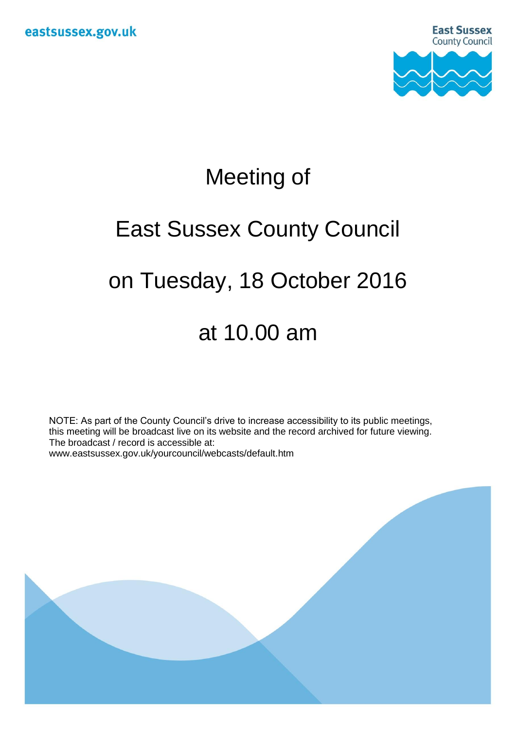

# Meeting of

## East Sussex County Council

## on Tuesday, 18 October 2016

### at 10.00 am

NOTE: As part of the County Council's drive to increase accessibility to its public meetings, this meeting will be broadcast live on its website and the record archived for future viewing. The broadcast / record is accessible at: www.eastsussex.gov.uk/yourcouncil/webcasts/default.htm